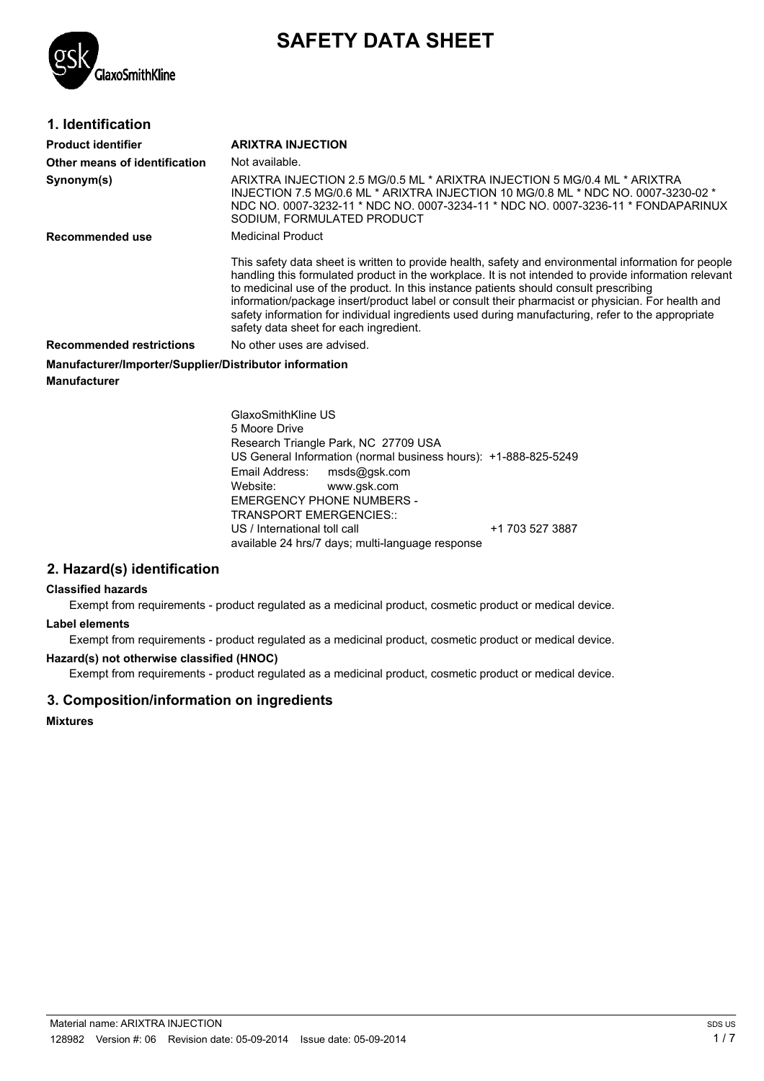

# **SAFETY DATA SHEET**

| 1. Identification                                      |                                                                                                                                                                                                                                                                                                                                                                                                                                                                                                                                                            |
|--------------------------------------------------------|------------------------------------------------------------------------------------------------------------------------------------------------------------------------------------------------------------------------------------------------------------------------------------------------------------------------------------------------------------------------------------------------------------------------------------------------------------------------------------------------------------------------------------------------------------|
| <b>Product identifier</b>                              | <b>ARIXTRA INJECTION</b>                                                                                                                                                                                                                                                                                                                                                                                                                                                                                                                                   |
| Other means of identification                          | Not available.                                                                                                                                                                                                                                                                                                                                                                                                                                                                                                                                             |
| Synonym(s)                                             | ARIXTRA INJECTION 2.5 MG/0.5 ML * ARIXTRA INJECTION 5 MG/0.4 ML * ARIXTRA<br>INJECTION 7.5 MG/0.6 ML * ARIXTRA INJECTION 10 MG/0.8 ML * NDC NO. 0007-3230-02 *<br>NDC NO. 0007-3232-11 * NDC NO. 0007-3234-11 * NDC NO. 0007-3236-11 * FONDAPARINUX<br>SODIUM, FORMULATED PRODUCT                                                                                                                                                                                                                                                                          |
| Recommended use                                        | Medicinal Product                                                                                                                                                                                                                                                                                                                                                                                                                                                                                                                                          |
|                                                        | This safety data sheet is written to provide health, safety and environmental information for people<br>handling this formulated product in the workplace. It is not intended to provide information relevant<br>to medicinal use of the product. In this instance patients should consult prescribing<br>information/package insert/product label or consult their pharmacist or physician. For health and<br>safety information for individual ingredients used during manufacturing, refer to the appropriate<br>safety data sheet for each ingredient. |
| <b>Recommended restrictions</b>                        | No other uses are advised.                                                                                                                                                                                                                                                                                                                                                                                                                                                                                                                                 |
| Manufacturer/Importer/Supplier/Distributor information |                                                                                                                                                                                                                                                                                                                                                                                                                                                                                                                                                            |
| <b>Manufacturer</b>                                    |                                                                                                                                                                                                                                                                                                                                                                                                                                                                                                                                                            |
|                                                        |                                                                                                                                                                                                                                                                                                                                                                                                                                                                                                                                                            |

GlaxoSmithKline US 5 Moore Drive Research Triangle Park, NC 27709 USA US General Information (normal business hours): +1-888-825-5249 Email Address: msds@gsk.com Website: www.gsk.com EMERGENCY PHONE NUMBERS - TRANSPORT EMERGENCIES:: US / International toll call  $+1$  703 527 3887 available 24 hrs/7 days; multi-language response

# **2. Hazard(s) identification**

#### **Classified hazards**

Exempt from requirements - product regulated as a medicinal product, cosmetic product or medical device.

#### **Label elements**

Exempt from requirements - product regulated as a medicinal product, cosmetic product or medical device.

#### **Hazard(s) not otherwise classified (HNOC)**

Exempt from requirements - product regulated as a medicinal product, cosmetic product or medical device.

# **3. Composition/information on ingredients**

**Mixtures**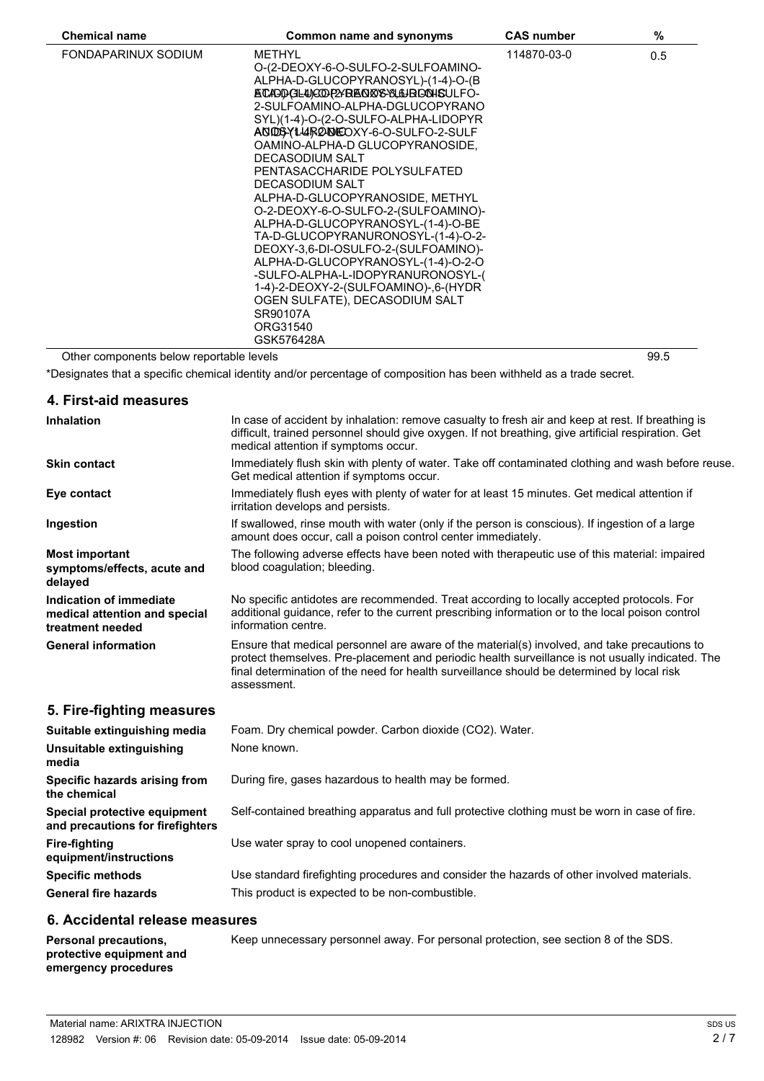| <b>Chemical name</b> | Common name and synonyms                                                                                                                                                                                                                                                                                                                                                                                                                                                                                                                                                                                                                                                                                                                       | <b>CAS number</b> | %   |
|----------------------|------------------------------------------------------------------------------------------------------------------------------------------------------------------------------------------------------------------------------------------------------------------------------------------------------------------------------------------------------------------------------------------------------------------------------------------------------------------------------------------------------------------------------------------------------------------------------------------------------------------------------------------------------------------------------------------------------------------------------------------------|-------------------|-----|
| FONDAPARINUX SODIUM  | <b>METHYL</b><br>O-(2-DEOXY-6-O-SULFO-2-SULFOAMINO-<br>ALPHA-D-GLUCOPYRANOSYL)-(1-4)-O-(B<br>ECAPDCILUCOP2YBEOR8-8L&BOOHSULFO-<br>2-SULFOAMINO-ALPHA-DGLUCOPYRANO<br>SYL)(1-4)-O-(2-O-SULFO-ALPHA-LIDOPYR<br>AND BYL4 RODEOXY-6-O-SULFO-2-SULF<br>OAMINO-ALPHA-D GLUCOPYRANOSIDE,<br>DECASODIUM SALT<br>PENTASACCHARIDE POLYSULFATED<br>DECASODIUM SALT<br>ALPHA-D-GLUCOPYRANOSIDE, METHYL<br>O-2-DEOXY-6-O-SULFO-2-(SULFOAMINO)-<br>ALPHA-D-GLUCOPYRANOSYL-(1-4)-O-BE<br>TA-D-GLUCOPYRANURONOSYL-(1-4)-O-2-<br>DEOXY-3,6-DI-OSULFO-2-(SULFOAMINO)-<br>ALPHA-D-GLUCOPYRANOSYL-(1-4)-O-2-O<br>-SULFO-ALPHA-L-IDOPYRANURONOSYL-(<br>1-4)-2-DEOXY-2-(SULFOAMINO)-,6-(HYDR<br>OGEN SULFATE), DECASODIUM SALT<br>SR90107A<br>ORG31540<br>GSK576428A | 114870-03-0       | 0.5 |

Other components below reportable levels 89.5

\*Designates that a specific chemical identity and/or percentage of composition has been withheld as a trade secret.

# **4. First-aid measures**

 $\overline{a}$ 

| <b>Inhalation</b>                                                            | In case of accident by inhalation: remove casualty to fresh air and keep at rest. If breathing is<br>difficult, trained personnel should give oxygen. If not breathing, give artificial respiration. Get<br>medical attention if symptoms occur.                                                              |
|------------------------------------------------------------------------------|---------------------------------------------------------------------------------------------------------------------------------------------------------------------------------------------------------------------------------------------------------------------------------------------------------------|
| <b>Skin contact</b>                                                          | Immediately flush skin with plenty of water. Take off contaminated clothing and wash before reuse.<br>Get medical attention if symptoms occur.                                                                                                                                                                |
| Eye contact                                                                  | Immediately flush eyes with plenty of water for at least 15 minutes. Get medical attention if<br>irritation develops and persists.                                                                                                                                                                            |
| Ingestion                                                                    | If swallowed, rinse mouth with water (only if the person is conscious). If ingestion of a large<br>amount does occur, call a poison control center immediately.                                                                                                                                               |
| <b>Most important</b><br>symptoms/effects, acute and<br>delayed              | The following adverse effects have been noted with therapeutic use of this material: impaired<br>blood coaquiation; bleeding.                                                                                                                                                                                 |
| Indication of immediate<br>medical attention and special<br>treatment needed | No specific antidotes are recommended. Treat according to locally accepted protocols. For<br>additional guidance, refer to the current prescribing information or to the local poison control<br>information centre.                                                                                          |
| <b>General information</b>                                                   | Ensure that medical personnel are aware of the material(s) involved, and take precautions to<br>protect themselves. Pre-placement and periodic health surveillance is not usually indicated. The<br>final determination of the need for health surveillance should be determined by local risk<br>assessment. |
| 5. Fire-fighting measures                                                    |                                                                                                                                                                                                                                                                                                               |
| Suitable extinguishing media                                                 | Foam. Dry chemical powder. Carbon dioxide (CO2). Water.                                                                                                                                                                                                                                                       |
| Unsuitable extinguishing<br>media                                            | None known.                                                                                                                                                                                                                                                                                                   |
| Specific hazards arising from<br>the chemical                                | During fire, gases hazardous to health may be formed.                                                                                                                                                                                                                                                         |

**Special protective equipment** Self-contained breathing apparatus and full protective clothing must be worn in case of fire.

Use water spray to cool unopened containers.

**Specific methods** Use standard firefighting procedures and consider the hazards of other involved materials. **General fire hazards** This product is expected to be non-combustible.

# **6. Accidental release measures**

**Personal precautions, protective equipment and emergency procedures**

**and precautions for firefighters**

**equipment/instructions**

**Fire-fighting**

Keep unnecessary personnel away. For personal protection, see section 8 of the SDS.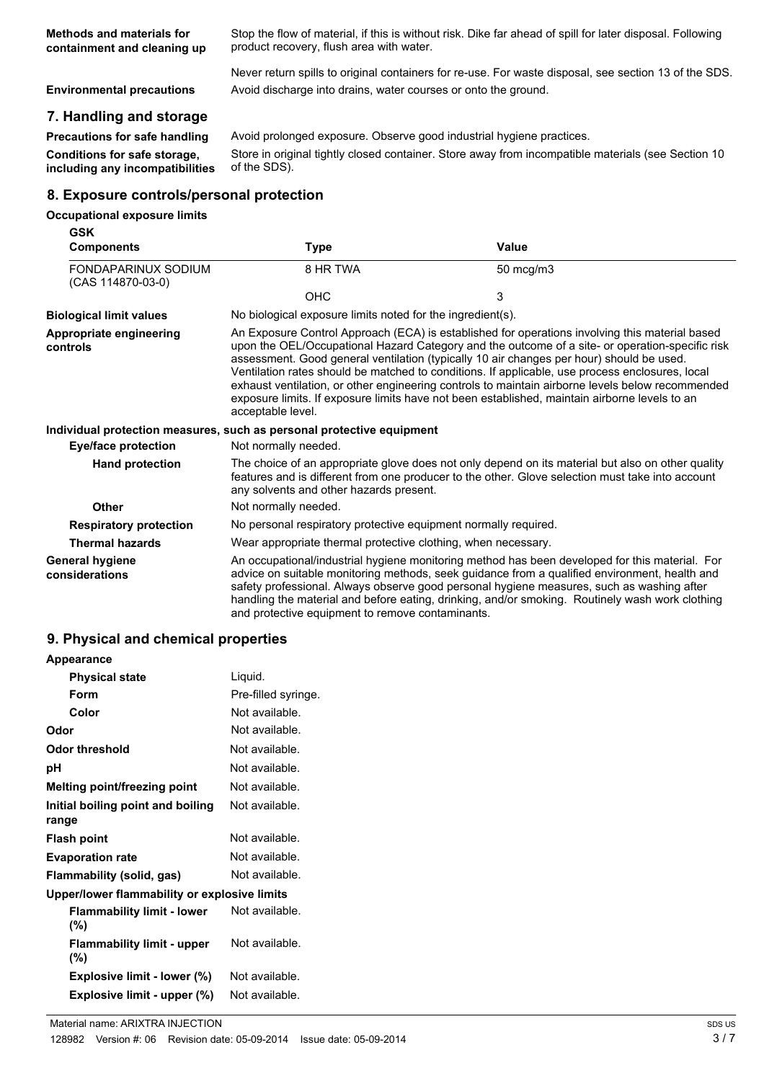**Methods and materials for containment and cleaning up** Stop the flow of material, if this is without risk. Dike far ahead of spill for later disposal. Following product recovery, flush area with water.

Never return spills to original containers for re-use. For waste disposal, see section 13 of the SDS. **Environmental precautions** Avoid discharge into drains, water courses or onto the ground.

# **7. Handling and storage**

**Conditions for safe storage, including any incompatibilities**

**Precautions for safe handling** Avoid prolonged exposure. Observe good industrial hygiene practices. Store in original tightly closed container. Store away from incompatible materials (see Section 10 of the SDS).

# **8. Exposure controls/personal protection**

#### **Occupational exposure limits**

| GSK<br><b>Components</b>                        | <b>Type</b>                                                           | Value                                                                                                                                                                                                                                                                                                                                                                                                                                                                                                                                                                                                 |
|-------------------------------------------------|-----------------------------------------------------------------------|-------------------------------------------------------------------------------------------------------------------------------------------------------------------------------------------------------------------------------------------------------------------------------------------------------------------------------------------------------------------------------------------------------------------------------------------------------------------------------------------------------------------------------------------------------------------------------------------------------|
| <b>FONDAPARINUX SODIUM</b><br>(CAS 114870-03-0) | 8 HR TWA                                                              | 50 mcg/m3                                                                                                                                                                                                                                                                                                                                                                                                                                                                                                                                                                                             |
|                                                 | <b>OHC</b>                                                            | 3                                                                                                                                                                                                                                                                                                                                                                                                                                                                                                                                                                                                     |
| <b>Biological limit values</b>                  | No biological exposure limits noted for the ingredient(s).            |                                                                                                                                                                                                                                                                                                                                                                                                                                                                                                                                                                                                       |
| Appropriate engineering<br>controls             | acceptable level.                                                     | An Exposure Control Approach (ECA) is established for operations involving this material based<br>upon the OEL/Occupational Hazard Category and the outcome of a site- or operation-specific risk<br>assessment. Good general ventilation (typically 10 air changes per hour) should be used.<br>Ventilation rates should be matched to conditions. If applicable, use process enclosures, local<br>exhaust ventilation, or other engineering controls to maintain airborne levels below recommended<br>exposure limits. If exposure limits have not been established, maintain airborne levels to an |
|                                                 | Individual protection measures, such as personal protective equipment |                                                                                                                                                                                                                                                                                                                                                                                                                                                                                                                                                                                                       |
| Eye/face protection                             | Not normally needed.                                                  |                                                                                                                                                                                                                                                                                                                                                                                                                                                                                                                                                                                                       |
| <b>Hand protection</b>                          | any solvents and other hazards present.                               | The choice of an appropriate glove does not only depend on its material but also on other quality<br>features and is different from one producer to the other. Glove selection must take into account                                                                                                                                                                                                                                                                                                                                                                                                 |
| <b>Other</b>                                    | Not normally needed.                                                  |                                                                                                                                                                                                                                                                                                                                                                                                                                                                                                                                                                                                       |
| <b>Respiratory protection</b>                   | No personal respiratory protective equipment normally required.       |                                                                                                                                                                                                                                                                                                                                                                                                                                                                                                                                                                                                       |
| <b>Thermal hazards</b>                          | Wear appropriate thermal protective clothing, when necessary.         |                                                                                                                                                                                                                                                                                                                                                                                                                                                                                                                                                                                                       |
| <b>General hygiene</b><br>considerations        | and protective equipment to remove contaminants.                      | An occupational/industrial hygiene monitoring method has been developed for this material. For<br>advice on suitable monitoring methods, seek guidance from a qualified environment, health and<br>safety professional. Always observe good personal hygiene measures, such as washing after<br>handling the material and before eating, drinking, and/or smoking. Routinely wash work clothing                                                                                                                                                                                                       |

# **9. Physical and chemical properties**

| Appearance                                   |                     |
|----------------------------------------------|---------------------|
| <b>Physical state</b>                        | Liquid.             |
| <b>Form</b>                                  | Pre-filled syringe. |
| Color                                        | Not available.      |
| Odor                                         | Not available.      |
| <b>Odor threshold</b>                        | Not available.      |
| рH                                           | Not available.      |
| <b>Melting point/freezing point</b>          | Not available.      |
| Initial boiling point and boiling<br>range   | Not available.      |
| <b>Flash point</b>                           | Not available.      |
| <b>Evaporation rate</b>                      | Not available.      |
| Flammability (solid, gas)                    | Not available.      |
| Upper/lower flammability or explosive limits |                     |
| <b>Flammability limit - lower</b><br>$(\%)$  | Not available.      |
| <b>Flammability limit - upper</b><br>$(\%)$  | Not available.      |
| Explosive limit - lower (%)                  | Not available.      |
| Explosive limit - upper (%)                  | Not available.      |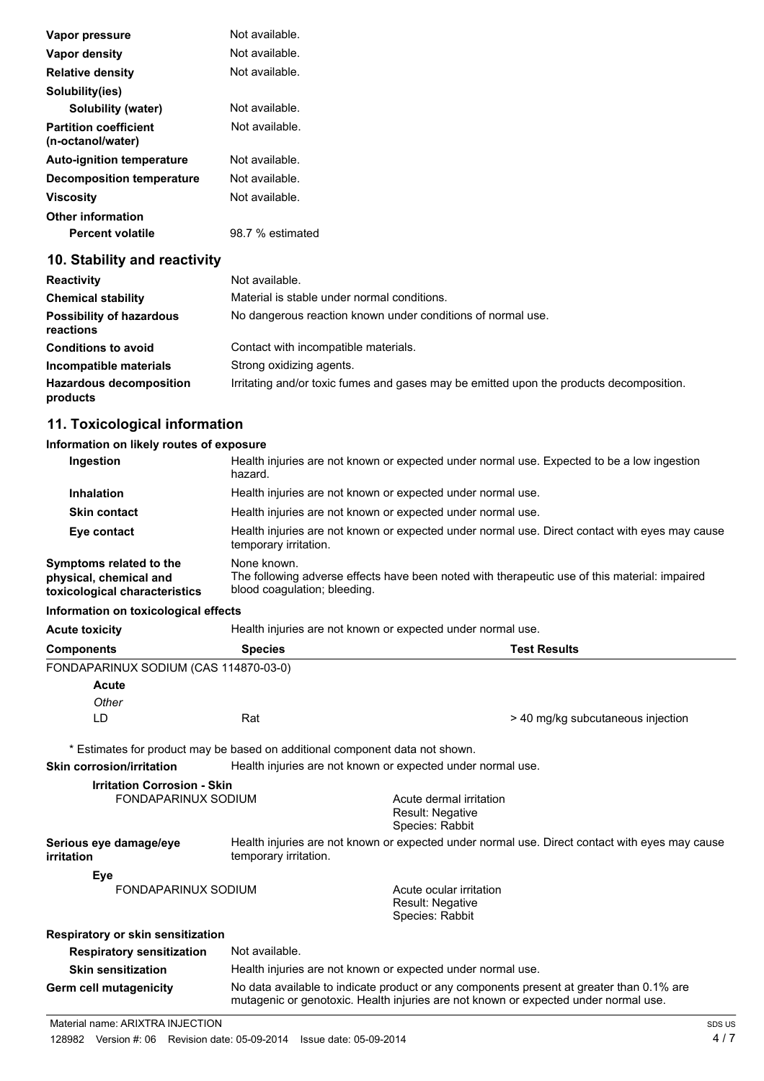| Vapor pressure                                                                                                                                                                                                                                                                                                                                                                       | Not available.   |
|--------------------------------------------------------------------------------------------------------------------------------------------------------------------------------------------------------------------------------------------------------------------------------------------------------------------------------------------------------------------------------------|------------------|
| Vapor density                                                                                                                                                                                                                                                                                                                                                                        | Not available.   |
| <b>Relative density</b>                                                                                                                                                                                                                                                                                                                                                              | Not available.   |
| Solubility(ies)                                                                                                                                                                                                                                                                                                                                                                      |                  |
| Solubility (water)                                                                                                                                                                                                                                                                                                                                                                   | Not available.   |
| <b>Partition coefficient</b><br>(n-octanol/water)                                                                                                                                                                                                                                                                                                                                    | Not available.   |
| <b>Auto-ignition temperature</b>                                                                                                                                                                                                                                                                                                                                                     | Not available.   |
| <b>Decomposition temperature</b>                                                                                                                                                                                                                                                                                                                                                     | Not available.   |
| <b>Viscosity</b>                                                                                                                                                                                                                                                                                                                                                                     | Not available.   |
| <b>Other information</b>                                                                                                                                                                                                                                                                                                                                                             |                  |
| <b>Percent volatile</b>                                                                                                                                                                                                                                                                                                                                                              | 98.7 % estimated |
| $\overline{a}$ $\overline{a}$ $\overline{a}$ $\overline{a}$ $\overline{a}$ $\overline{a}$ $\overline{a}$ $\overline{a}$ $\overline{a}$ $\overline{a}$ $\overline{a}$ $\overline{a}$ $\overline{a}$ $\overline{a}$ $\overline{a}$ $\overline{a}$ $\overline{a}$ $\overline{a}$ $\overline{a}$ $\overline{a}$ $\overline{a}$ $\overline{a}$ $\overline{a}$ $\overline{a}$ $\overline{$ |                  |

# **10. Stability and reactivity**

| <b>Reactivity</b>                            | Not available.                                                                          |
|----------------------------------------------|-----------------------------------------------------------------------------------------|
| <b>Chemical stability</b>                    | Material is stable under normal conditions.                                             |
| <b>Possibility of hazardous</b><br>reactions | No dangerous reaction known under conditions of normal use.                             |
| <b>Conditions to avoid</b>                   | Contact with incompatible materials.                                                    |
| Incompatible materials                       | Strong oxidizing agents.                                                                |
| <b>Hazardous decomposition</b><br>products   | Irritating and/or toxic fumes and gases may be emitted upon the products decomposition. |

# **11. Toxicological information**

# **Information on likely routes of exposure**

| Ingestion                                                                          | Health injuries are not known or expected under normal use. Expected to be a low ingestion<br>hazard.                                        |
|------------------------------------------------------------------------------------|----------------------------------------------------------------------------------------------------------------------------------------------|
| <b>Inhalation</b>                                                                  | Health injuries are not known or expected under normal use.                                                                                  |
| <b>Skin contact</b>                                                                | Health injuries are not known or expected under normal use.                                                                                  |
| Eye contact                                                                        | Health injuries are not known or expected under normal use. Direct contact with eyes may cause<br>temporary irritation.                      |
| Symptoms related to the<br>physical, chemical and<br>toxicological characteristics | None known.<br>The following adverse effects have been noted with therapeutic use of this material: impaired<br>blood coaquiation; bleeding. |

# **Information on toxicological effects**

| <b>Acute toxicity</b>                 |                | Health injuries are not known or expected under normal use. |  |  |
|---------------------------------------|----------------|-------------------------------------------------------------|--|--|
| <b>Components</b>                     | <b>Species</b> | <b>Test Results</b>                                         |  |  |
| FONDAPARINUX SODIUM (CAS 114870-03-0) |                |                                                             |  |  |
| <b>Acute</b>                          |                |                                                             |  |  |
| Other                                 |                |                                                             |  |  |
| LD                                    | Rat            | > 40 mg/kg subcutaneous injection                           |  |  |

**Skin corrosion/irritation** Health injuries are not known or expected under normal use.

| <b>Irritation Corrosion - Skin</b>          |                                                                                                                         |                                                                                                                                                                                 |  |
|---------------------------------------------|-------------------------------------------------------------------------------------------------------------------------|---------------------------------------------------------------------------------------------------------------------------------------------------------------------------------|--|
| FONDAPARINUX SODIUM                         |                                                                                                                         | Acute dermal irritation<br><b>Result: Negative</b><br>Species: Rabbit                                                                                                           |  |
| Serious eye damage/eye<br><i>irritation</i> | Health injuries are not known or expected under normal use. Direct contact with eyes may cause<br>temporary irritation. |                                                                                                                                                                                 |  |
| Eye                                         |                                                                                                                         |                                                                                                                                                                                 |  |
| FONDAPARINUX SODIUM                         |                                                                                                                         | Acute ocular irritation<br><b>Result: Negative</b><br>Species: Rabbit                                                                                                           |  |
| Respiratory or skin sensitization           |                                                                                                                         |                                                                                                                                                                                 |  |
| <b>Respiratory sensitization</b>            | Not available.                                                                                                          |                                                                                                                                                                                 |  |
| <b>Skin sensitization</b>                   |                                                                                                                         | Health injuries are not known or expected under normal use.                                                                                                                     |  |
| Germ cell mutagenicity                      |                                                                                                                         | No data available to indicate product or any components present at greater than 0.1% are<br>mutagenic or genotoxic. Health injuries are not known or expected under normal use. |  |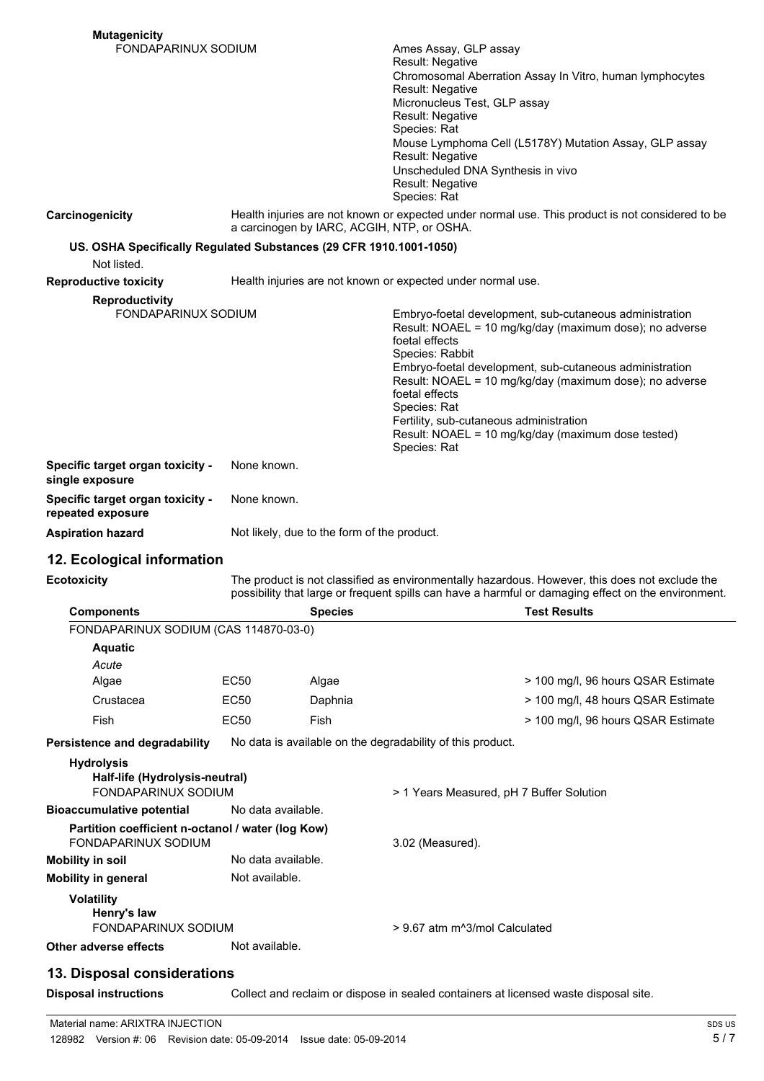| <b>Mutagenicity</b>                                                               |                                                                                                                                                |                                             |                                                                              |                                                                                                                                                                                                       |
|-----------------------------------------------------------------------------------|------------------------------------------------------------------------------------------------------------------------------------------------|---------------------------------------------|------------------------------------------------------------------------------|-------------------------------------------------------------------------------------------------------------------------------------------------------------------------------------------------------|
| <b>FONDAPARINUX SODIUM</b>                                                        |                                                                                                                                                |                                             | Ames Assay, GLP assay                                                        |                                                                                                                                                                                                       |
|                                                                                   |                                                                                                                                                |                                             | Result: Negative<br>Chromosomal Aberration Assay In Vitro, human lymphocytes |                                                                                                                                                                                                       |
|                                                                                   |                                                                                                                                                |                                             | Result: Negative                                                             |                                                                                                                                                                                                       |
|                                                                                   |                                                                                                                                                |                                             | Micronucleus Test, GLP assay                                                 |                                                                                                                                                                                                       |
|                                                                                   |                                                                                                                                                |                                             | Result: Negative<br>Species: Rat                                             |                                                                                                                                                                                                       |
|                                                                                   |                                                                                                                                                |                                             |                                                                              | Mouse Lymphoma Cell (L5178Y) Mutation Assay, GLP assay                                                                                                                                                |
|                                                                                   |                                                                                                                                                |                                             | Result: Negative                                                             |                                                                                                                                                                                                       |
|                                                                                   |                                                                                                                                                |                                             | Unscheduled DNA Synthesis in vivo<br>Result: Negative                        |                                                                                                                                                                                                       |
|                                                                                   |                                                                                                                                                |                                             | Species: Rat                                                                 |                                                                                                                                                                                                       |
| Carcinogenicity                                                                   | Health injuries are not known or expected under normal use. This product is not considered to be<br>a carcinogen by IARC, ACGIH, NTP, or OSHA. |                                             |                                                                              |                                                                                                                                                                                                       |
| US. OSHA Specifically Regulated Substances (29 CFR 1910.1001-1050)<br>Not listed. |                                                                                                                                                |                                             |                                                                              |                                                                                                                                                                                                       |
| <b>Reproductive toxicity</b>                                                      |                                                                                                                                                |                                             | Health injuries are not known or expected under normal use.                  |                                                                                                                                                                                                       |
| <b>Reproductivity</b>                                                             |                                                                                                                                                |                                             |                                                                              |                                                                                                                                                                                                       |
| <b>FONDAPARINUX SODIUM</b>                                                        |                                                                                                                                                |                                             |                                                                              | Embryo-foetal development, sub-cutaneous administration                                                                                                                                               |
|                                                                                   |                                                                                                                                                |                                             | foetal effects                                                               | Result: NOAEL = 10 mg/kg/day (maximum dose); no adverse                                                                                                                                               |
|                                                                                   |                                                                                                                                                |                                             | Species: Rabbit                                                              |                                                                                                                                                                                                       |
|                                                                                   |                                                                                                                                                |                                             |                                                                              | Embryo-foetal development, sub-cutaneous administration                                                                                                                                               |
|                                                                                   |                                                                                                                                                |                                             | foetal effects                                                               | Result: NOAEL = 10 mg/kg/day (maximum dose); no adverse                                                                                                                                               |
|                                                                                   |                                                                                                                                                |                                             | Species: Rat                                                                 |                                                                                                                                                                                                       |
|                                                                                   |                                                                                                                                                |                                             | Fertility, sub-cutaneous administration                                      | Result: NOAEL = 10 mg/kg/day (maximum dose tested)                                                                                                                                                    |
|                                                                                   |                                                                                                                                                |                                             | Species: Rat                                                                 |                                                                                                                                                                                                       |
| Specific target organ toxicity -<br>single exposure                               | None known.                                                                                                                                    |                                             |                                                                              |                                                                                                                                                                                                       |
| Specific target organ toxicity -<br>repeated exposure                             | None known.                                                                                                                                    |                                             |                                                                              |                                                                                                                                                                                                       |
| <b>Aspiration hazard</b>                                                          |                                                                                                                                                | Not likely, due to the form of the product. |                                                                              |                                                                                                                                                                                                       |
|                                                                                   |                                                                                                                                                |                                             |                                                                              |                                                                                                                                                                                                       |
| 12. Ecological information                                                        |                                                                                                                                                |                                             |                                                                              |                                                                                                                                                                                                       |
| <b>Ecotoxicity</b>                                                                |                                                                                                                                                |                                             |                                                                              | The product is not classified as environmentally hazardous. However, this does not exclude the<br>possibility that large or frequent spills can have a harmful or damaging effect on the environment. |
| <b>Components</b>                                                                 |                                                                                                                                                | <b>Species</b>                              |                                                                              | <b>Test Results</b>                                                                                                                                                                                   |
| FONDAPARINUX SODIUM (CAS 114870-03-0)                                             |                                                                                                                                                |                                             |                                                                              |                                                                                                                                                                                                       |
| <b>Aquatic</b>                                                                    |                                                                                                                                                |                                             |                                                                              |                                                                                                                                                                                                       |
| Acute                                                                             |                                                                                                                                                |                                             |                                                                              |                                                                                                                                                                                                       |
| Algae                                                                             | <b>EC50</b>                                                                                                                                    | Algae                                       |                                                                              | > 100 mg/l, 96 hours QSAR Estimate                                                                                                                                                                    |
| Crustacea                                                                         | EC50                                                                                                                                           | Daphnia                                     |                                                                              | > 100 mg/l, 48 hours QSAR Estimate                                                                                                                                                                    |
| Fish                                                                              | <b>EC50</b>                                                                                                                                    | Fish                                        |                                                                              | > 100 mg/l, 96 hours QSAR Estimate                                                                                                                                                                    |
| Persistence and degradability                                                     |                                                                                                                                                |                                             | No data is available on the degradability of this product.                   |                                                                                                                                                                                                       |
| <b>Hydrolysis</b>                                                                 |                                                                                                                                                |                                             |                                                                              |                                                                                                                                                                                                       |
| Half-life (Hydrolysis-neutral)                                                    |                                                                                                                                                |                                             |                                                                              |                                                                                                                                                                                                       |
| <b>FONDAPARINUX SODIUM</b>                                                        |                                                                                                                                                |                                             | > 1 Years Measured, pH 7 Buffer Solution                                     |                                                                                                                                                                                                       |
| <b>Bioaccumulative potential</b>                                                  | No data available.                                                                                                                             |                                             |                                                                              |                                                                                                                                                                                                       |
| Partition coefficient n-octanol / water (log Kow)<br>FONDAPARINUX SODIUM          |                                                                                                                                                |                                             | 3.02 (Measured).                                                             |                                                                                                                                                                                                       |
| <b>Mobility in soil</b>                                                           | No data available.                                                                                                                             |                                             |                                                                              |                                                                                                                                                                                                       |
| <b>Mobility in general</b>                                                        | Not available.                                                                                                                                 |                                             |                                                                              |                                                                                                                                                                                                       |
| <b>Volatility</b>                                                                 |                                                                                                                                                |                                             |                                                                              |                                                                                                                                                                                                       |
| Henry's law<br><b>FONDAPARINUX SODIUM</b>                                         |                                                                                                                                                |                                             |                                                                              |                                                                                                                                                                                                       |
|                                                                                   |                                                                                                                                                |                                             |                                                                              |                                                                                                                                                                                                       |
|                                                                                   |                                                                                                                                                |                                             | > 9.67 atm m <sup>2</sup> 3/mol Calculated                                   |                                                                                                                                                                                                       |
| Other adverse effects                                                             | Not available.                                                                                                                                 |                                             |                                                                              |                                                                                                                                                                                                       |
| 13. Disposal considerations<br><b>Disposal instructions</b>                       |                                                                                                                                                |                                             |                                                                              | Collect and reclaim or dispose in sealed containers at licensed waste disposal site.                                                                                                                  |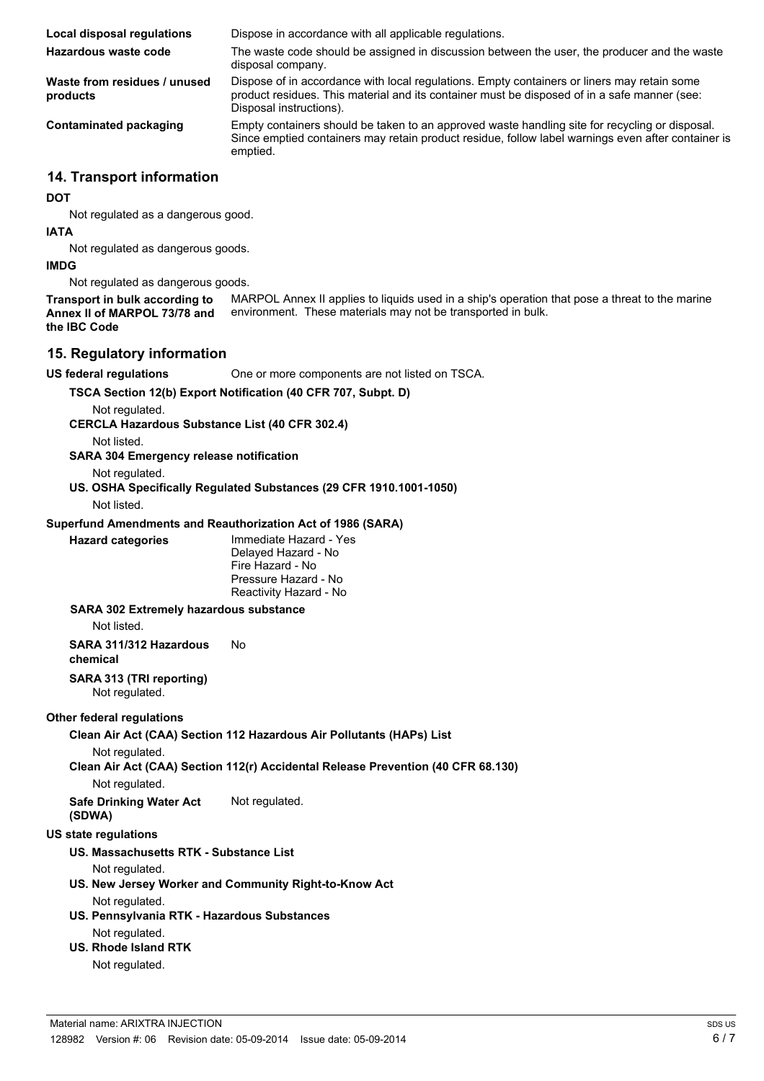| Local disposal regulations               | Dispose in accordance with all applicable regulations.                                                                                                                                                                 |
|------------------------------------------|------------------------------------------------------------------------------------------------------------------------------------------------------------------------------------------------------------------------|
| Hazardous waste code                     | The waste code should be assigned in discussion between the user, the producer and the waste<br>disposal company.                                                                                                      |
| Waste from residues / unused<br>products | Dispose of in accordance with local regulations. Empty containers or liners may retain some<br>product residues. This material and its container must be disposed of in a safe manner (see:<br>Disposal instructions). |
| Contaminated packaging                   | Empty containers should be taken to an approved waste handling site for recycling or disposal.<br>Since emptied containers may retain product residue, follow label warnings even after container is<br>emptied.       |

#### **14. Transport information**

#### **DOT**

Not regulated as a dangerous good.

#### **IATA**

Not regulated as dangerous goods.

#### **IMDG**

Not regulated as dangerous goods.

MARPOL Annex II applies to liquids used in a ship's operation that pose a threat to the marine environment. These materials may not be transported in bulk. **Transport in bulk according to Annex II of MARPOL 73/78 and the IBC Code**

# **15. Regulatory information**

**US federal regulations** One or more components are not listed on TSCA.

**TSCA Section 12(b) Export Notification (40 CFR 707, Subpt. D)**

Not regulated.

**CERCLA Hazardous Substance List (40 CFR 302.4)**

Not listed.

**SARA 304 Emergency release notification**

Not regulated.

**US. OSHA Specifically Regulated Substances (29 CFR 1910.1001-1050)**

Not listed.

#### **Superfund Amendments and Reauthorization Act of 1986 (SARA)**

**Hazard categories** Immediate Hazard - Yes Delayed Hazard - No Fire Hazard - No Pressure Hazard - No Reactivity Hazard - No

**SARA 302 Extremely hazardous substance** Not listed. **SARA 311/312 Hazardous** No

**chemical SARA 313 (TRI reporting)**

Not regulated.

# **Other federal regulations**

**Clean Air Act (CAA) Section 112 Hazardous Air Pollutants (HAPs) List**

Not regulated.

**Clean Air Act (CAA) Section 112(r) Accidental Release Prevention (40 CFR 68.130)**

Not regulated.

**Safe Drinking Water Act (SDWA)** Not regulated.

# **US state regulations**

**US. Massachusetts RTK - Substance List**

Not regulated.

**US. New Jersey Worker and Community Right-to-Know Act**

Not regulated.

**US. Pennsylvania RTK - Hazardous Substances**

Not regulated. **US. Rhode Island RTK**

# Not regulated.